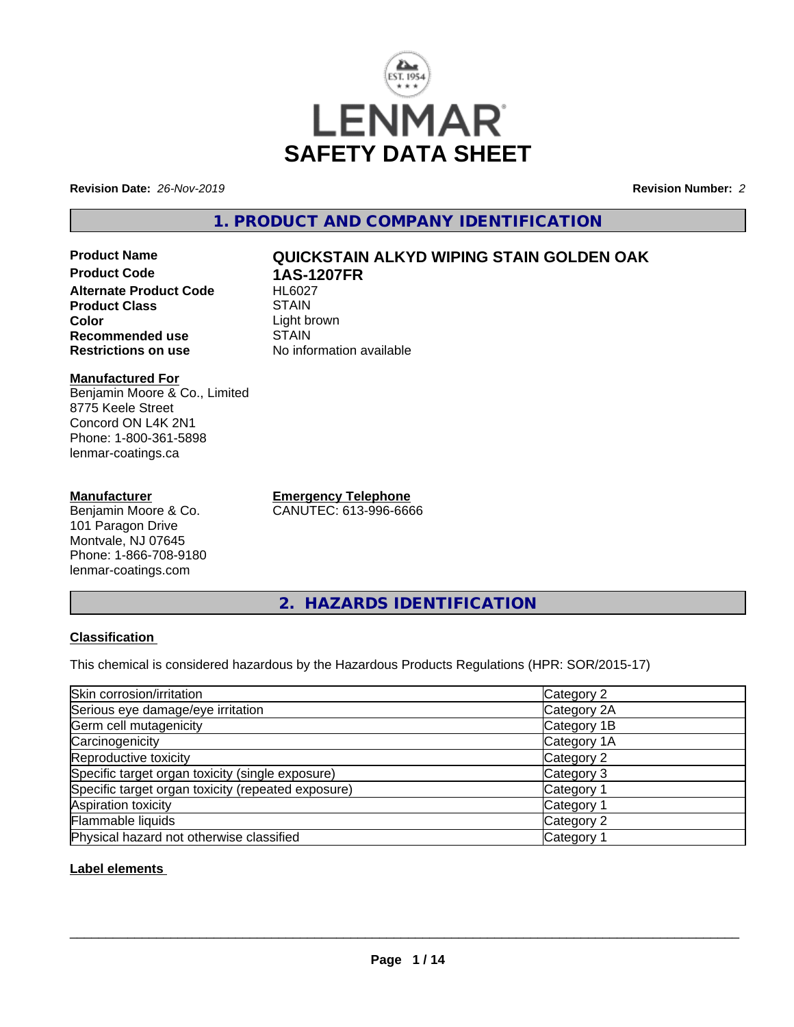

**Revision Date:** *26-Nov-2019* **Revision Number:** *2*

**1. PRODUCT AND COMPANY IDENTIFICATION**

**Product Name QUICKSTAIN ALKYD WIPING STAIN GOLDEN OAK Product Code 1AS-1207FR Alternate Product Code Product Class STAIN Color**<br> **Recommended use**<br>
STAIN **Recommended use**<br>Restrictions on use

#### **Manufactured For** Benjamin Moore & Co., Limited 8775 Keele Street Concord ON L4K 2N1 Phone: 1-800-361-5898 lenmar-coatings.ca

## **Manufacturer**

Benjamin Moore & Co. 101 Paragon Drive Montvale, NJ 07645 Phone: 1-866-708-9180 lenmar-coatings.com

**Emergency Telephone** CANUTEC: 613-996-6666

**No information available** 

**2. HAZARDS IDENTIFICATION**

## **Classification**

This chemical is considered hazardous by the Hazardous Products Regulations (HPR: SOR/2015-17)

| Skin corrosion/irritation                          | Category 2            |
|----------------------------------------------------|-----------------------|
| Serious eye damage/eye irritation                  | Category 2A           |
| Germ cell mutagenicity                             | Category 1B           |
| Carcinogenicity                                    | Category 1A           |
| Reproductive toxicity                              | Category 2            |
| Specific target organ toxicity (single exposure)   | Category 3            |
| Specific target organ toxicity (repeated exposure) | Category 1            |
| Aspiration toxicity                                | Category <sup>2</sup> |
| Flammable liquids                                  | Category 2            |
| Physical hazard not otherwise classified           | Category              |

## **Label elements**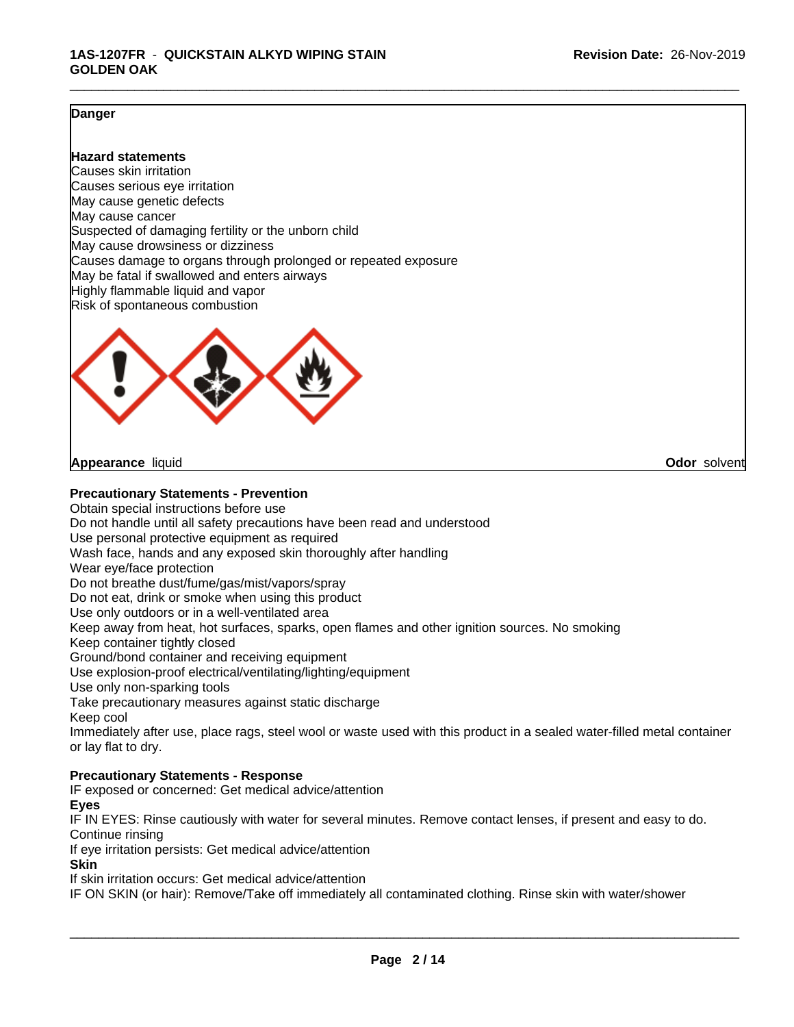## **Danger**

## **Hazard statements**

Causes skin irritation Causes serious eye irritation May cause genetic defects May cause cancer Suspected of damaging fertility or the unborn child May cause drowsiness or dizziness Causes damage to organs through prolonged or repeated exposure May be fatal if swallowed and enters airways Highly flammable liquid and vapor Risk of spontaneous combustion



**Appearance** liquid **Odor** solvent

**Precautionary Statements - Prevention**

Obtain special instructions before use Do not handle until all safety precautions have been read and understood Use personal protective equipment as required Wash face, hands and any exposed skin thoroughly after handling Wear eye/face protection Do not breathe dust/fume/gas/mist/vapors/spray Do not eat, drink or smoke when using this product Use only outdoors or in a well-ventilated area Keep away from heat, hot surfaces, sparks, open flames and other ignition sources. No smoking Keep container tightly closed Ground/bond container and receiving equipment Use explosion-proof electrical/ventilating/lighting/equipment Use only non-sparking tools Take precautionary measures against static discharge Keep cool Immediately after use, place rags, steel wool or waste used with this product in a sealed water-filled metal container or lay flat to dry. **Precautionary Statements - Response**

IF exposed or concerned: Get medical advice/attention

**Eyes**

IF IN EYES: Rinse cautiously with water for several minutes. Remove contact lenses, if present and easy to do. Continue rinsing

If eye irritation persists: Get medical advice/attention

**Skin**

If skin irritation occurs: Get medical advice/attention

IF ON SKIN (or hair): Remove/Take off immediately all contaminated clothing. Rinse skin with water/shower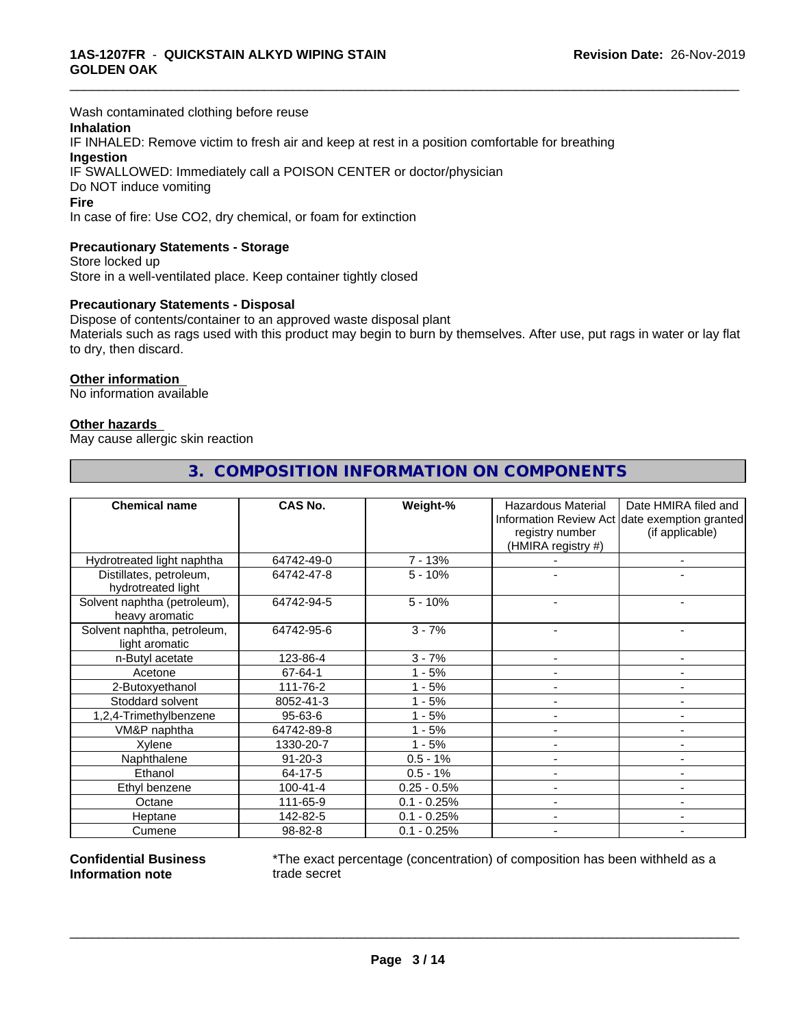Wash contaminated clothing before reuse

## **Inhalation**

IF INHALED: Remove victim to fresh air and keep at rest in a position comfortable for breathing **Ingestion** IF SWALLOWED: Immediately call a POISON CENTER or doctor/physician

Do NOT induce vomiting

#### **Fire**

In case of fire: Use CO2, dry chemical, or foam for extinction

#### **Precautionary Statements - Storage**

Store locked up Store in a well-ventilated place. Keep container tightly closed

#### **Precautionary Statements - Disposal**

Dispose of contents/container to an approved waste disposal plant Materials such as rags used with this product may begin to burn by themselves. After use, put rags in water or lay flat to dry, then discard.

\_\_\_\_\_\_\_\_\_\_\_\_\_\_\_\_\_\_\_\_\_\_\_\_\_\_\_\_\_\_\_\_\_\_\_\_\_\_\_\_\_\_\_\_\_\_\_\_\_\_\_\_\_\_\_\_\_\_\_\_\_\_\_\_\_\_\_\_\_\_\_\_\_\_\_\_\_\_\_\_\_\_\_\_\_\_\_\_\_\_\_\_\_

#### **Other information**

No information available

#### **Other hazards**

May cause allergic skin reaction

| <b>Chemical name</b>         | <b>CAS No.</b> | Weight-%      | <b>Hazardous Material</b> | Date HMIRA filed and                          |
|------------------------------|----------------|---------------|---------------------------|-----------------------------------------------|
|                              |                |               |                           | Information Review Act date exemption granted |
|                              |                |               | registry number           | (if applicable)                               |
|                              |                |               | (HMIRA registry #)        |                                               |
| Hydrotreated light naphtha   | 64742-49-0     | 7 - 13%       |                           |                                               |
| Distillates, petroleum,      | 64742-47-8     | $5 - 10%$     |                           |                                               |
| hydrotreated light           |                |               |                           |                                               |
| Solvent naphtha (petroleum), | 64742-94-5     | $5 - 10%$     |                           |                                               |
| heavy aromatic               |                |               |                           |                                               |
| Solvent naphtha, petroleum,  | 64742-95-6     | $3 - 7%$      |                           |                                               |
| light aromatic               |                |               |                           |                                               |
| n-Butyl acetate              | 123-86-4       | $3 - 7%$      |                           |                                               |
| Acetone                      | 67-64-1        | $1 - 5%$      |                           |                                               |
| 2-Butoxyethanol              | 111-76-2       | - 5%          |                           | ٠                                             |
| Stoddard solvent             | 8052-41-3      | $-5%$         |                           |                                               |
| 1,2,4-Trimethylbenzene       | $95 - 63 - 6$  | $-5%$         |                           | ۰                                             |
| VM&P naphtha                 | 64742-89-8     | - 5%          |                           |                                               |
| Xylene                       | 1330-20-7      | $1 - 5%$      |                           | ۰                                             |
| Naphthalene                  | $91 - 20 - 3$  | $0.5 - 1%$    |                           |                                               |
| Ethanol                      | 64-17-5        | $0.5 - 1%$    |                           |                                               |
| Ethyl benzene                | $100 - 41 - 4$ | $0.25 - 0.5%$ |                           |                                               |
| Octane                       | 111-65-9       | $0.1 - 0.25%$ |                           |                                               |
| Heptane                      | 142-82-5       | $0.1 - 0.25%$ |                           | ۰                                             |
| Cumene                       | 98-82-8        | $0.1 - 0.25%$ |                           |                                               |

## **3. COMPOSITION INFORMATION ON COMPONENTS**

#### **Confidential Business Information note**

\*The exact percentage (concentration) of composition has been withheld as a trade secret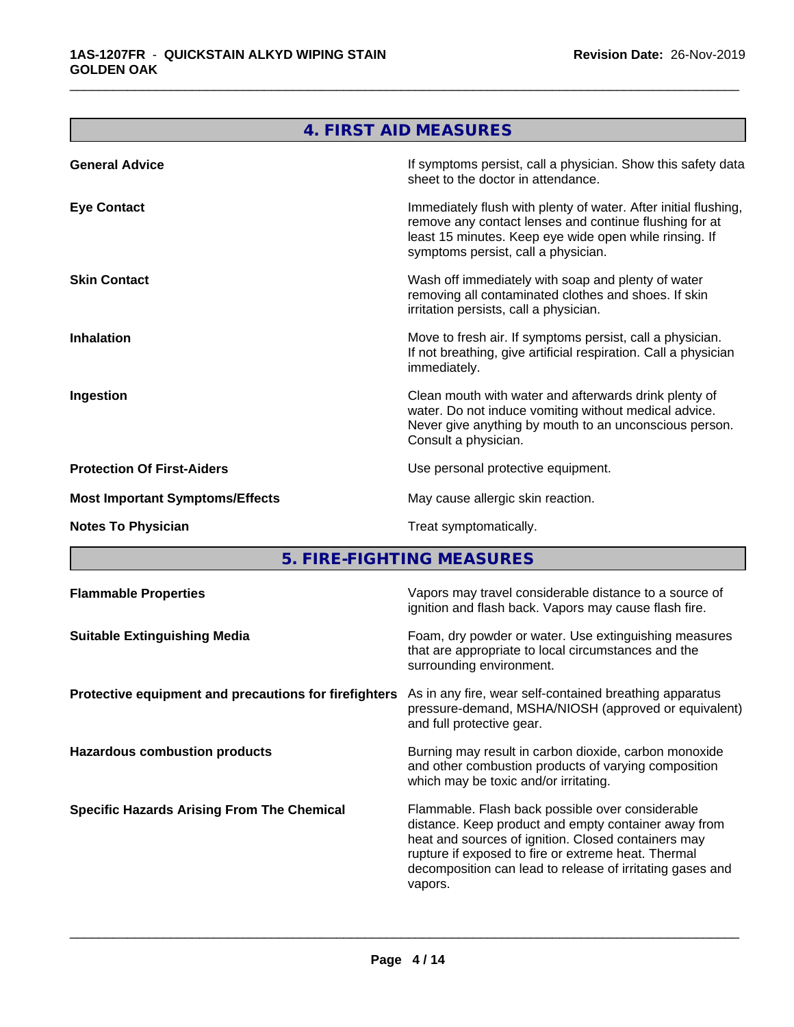| 4. FIRST AID MEASURES                                                                                                                                                                                                      |
|----------------------------------------------------------------------------------------------------------------------------------------------------------------------------------------------------------------------------|
| If symptoms persist, call a physician. Show this safety data<br>sheet to the doctor in attendance.                                                                                                                         |
| Immediately flush with plenty of water. After initial flushing,<br>remove any contact lenses and continue flushing for at<br>least 15 minutes. Keep eye wide open while rinsing. If<br>symptoms persist, call a physician. |
| Wash off immediately with soap and plenty of water<br>removing all contaminated clothes and shoes. If skin<br>irritation persists, call a physician.                                                                       |
| Move to fresh air. If symptoms persist, call a physician.<br>If not breathing, give artificial respiration. Call a physician<br>immediately.                                                                               |
| Clean mouth with water and afterwards drink plenty of<br>water. Do not induce vomiting without medical advice.<br>Never give anything by mouth to an unconscious person.<br>Consult a physician.                           |
| Use personal protective equipment.                                                                                                                                                                                         |
| May cause allergic skin reaction.                                                                                                                                                                                          |
| Treat symptomatically.                                                                                                                                                                                                     |
|                                                                                                                                                                                                                            |

**5. FIRE-FIGHTING MEASURES**

| <b>Flammable Properties</b>                           | Vapors may travel considerable distance to a source of<br>ignition and flash back. Vapors may cause flash fire.                                                                                                                                                                                |
|-------------------------------------------------------|------------------------------------------------------------------------------------------------------------------------------------------------------------------------------------------------------------------------------------------------------------------------------------------------|
| <b>Suitable Extinguishing Media</b>                   | Foam, dry powder or water. Use extinguishing measures<br>that are appropriate to local circumstances and the<br>surrounding environment.                                                                                                                                                       |
| Protective equipment and precautions for firefighters | As in any fire, wear self-contained breathing apparatus<br>pressure-demand, MSHA/NIOSH (approved or equivalent)<br>and full protective gear.                                                                                                                                                   |
| <b>Hazardous combustion products</b>                  | Burning may result in carbon dioxide, carbon monoxide<br>and other combustion products of varying composition<br>which may be toxic and/or irritating.                                                                                                                                         |
| <b>Specific Hazards Arising From The Chemical</b>     | Flammable. Flash back possible over considerable<br>distance. Keep product and empty container away from<br>heat and sources of ignition. Closed containers may<br>rupture if exposed to fire or extreme heat. Thermal<br>decomposition can lead to release of irritating gases and<br>vapors. |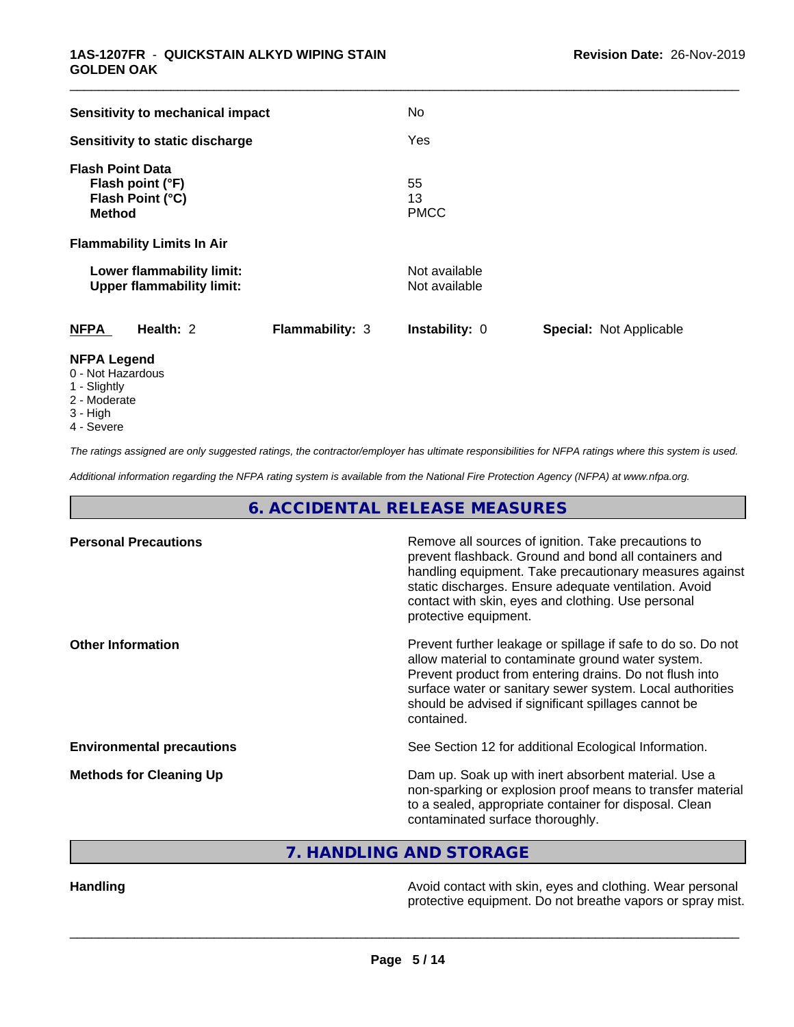| Sensitivity to mechanical impact                                                               |                 | <b>No</b>                      |                                |
|------------------------------------------------------------------------------------------------|-----------------|--------------------------------|--------------------------------|
| Sensitivity to static discharge                                                                |                 | Yes                            |                                |
| <b>Flash Point Data</b><br>Flash point (°F)<br>Flash Point (°C)<br><b>Method</b>               |                 | 55<br>13<br><b>PMCC</b>        |                                |
| <b>Flammability Limits In Air</b>                                                              |                 |                                |                                |
| Lower flammability limit:<br><b>Upper flammability limit:</b>                                  |                 | Not available<br>Not available |                                |
| <b>NFPA</b><br>Health: 2                                                                       | Flammability: 3 | Instability: 0                 | <b>Special: Not Applicable</b> |
| <b>NFPA Legend</b><br>0 - Not Hazardous<br>$\lambda$ $\sim$ $\sim$ $\sim$ $\sim$ $\sim$ $\sim$ |                 |                                |                                |

- 1 Slightly
- 2 Moderate
- 3 High
- 4 Severe

*The ratings assigned are only suggested ratings, the contractor/employer has ultimate responsibilities for NFPA ratings where this system is used.*

*Additional information regarding the NFPA rating system is available from the National Fire Protection Agency (NFPA) at www.nfpa.org.*

**6. ACCIDENTAL RELEASE MEASURES**

| <b>Personal Precautions</b>      | Remove all sources of ignition. Take precautions to<br>prevent flashback. Ground and bond all containers and<br>handling equipment. Take precautionary measures against<br>static discharges. Ensure adequate ventilation. Avoid<br>contact with skin, eyes and clothing. Use personal<br>protective equipment.  |
|----------------------------------|------------------------------------------------------------------------------------------------------------------------------------------------------------------------------------------------------------------------------------------------------------------------------------------------------------------|
| <b>Other Information</b>         | Prevent further leakage or spillage if safe to do so. Do not<br>allow material to contaminate ground water system.<br>Prevent product from entering drains. Do not flush into<br>surface water or sanitary sewer system. Local authorities<br>should be advised if significant spillages cannot be<br>contained. |
| <b>Environmental precautions</b> | See Section 12 for additional Ecological Information.                                                                                                                                                                                                                                                            |
| <b>Methods for Cleaning Up</b>   | Dam up. Soak up with inert absorbent material. Use a<br>non-sparking or explosion proof means to transfer material<br>to a sealed, appropriate container for disposal. Clean<br>contaminated surface thoroughly.                                                                                                 |

**7. HANDLING AND STORAGE**

Handling **Handling Handling Avoid contact with skin, eyes and clothing. Wear personal** protective equipment. Do not breathe vapors or spray mist.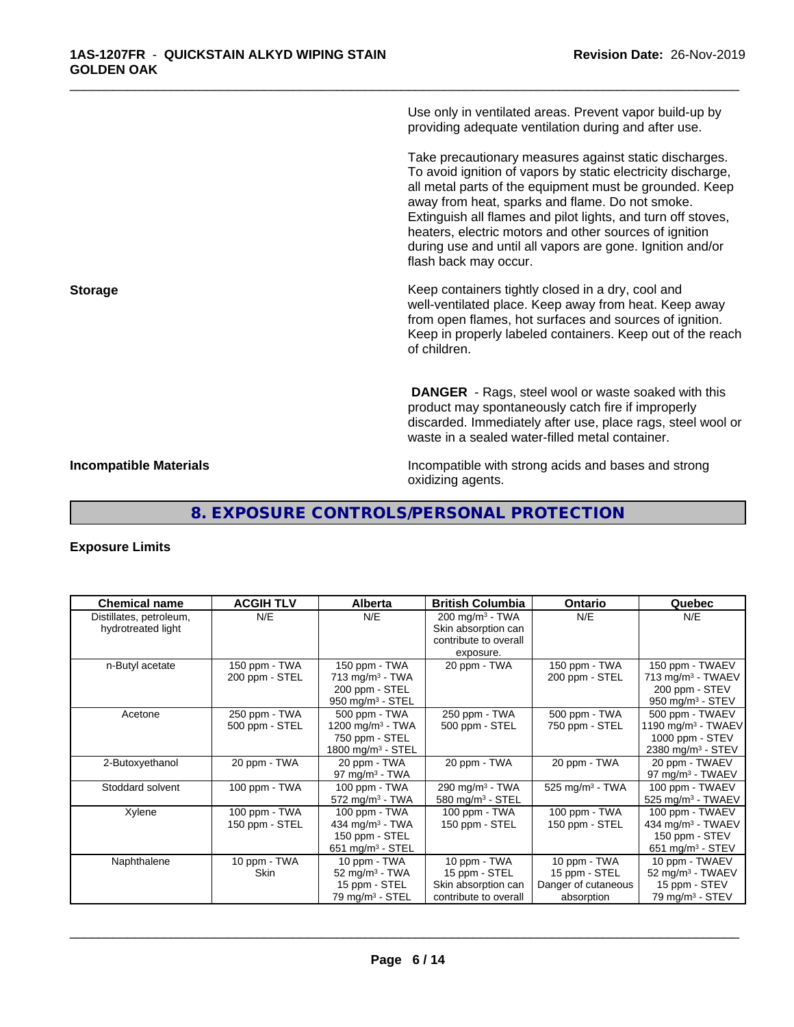Use only in ventilated areas. Prevent vapor build-up by providing adequate ventilation during and after use.

\_\_\_\_\_\_\_\_\_\_\_\_\_\_\_\_\_\_\_\_\_\_\_\_\_\_\_\_\_\_\_\_\_\_\_\_\_\_\_\_\_\_\_\_\_\_\_\_\_\_\_\_\_\_\_\_\_\_\_\_\_\_\_\_\_\_\_\_\_\_\_\_\_\_\_\_\_\_\_\_\_\_\_\_\_\_\_\_\_\_\_\_\_

Take precautionary measures against static discharges. To avoid ignition of vapors by static electricity discharge, all metal parts of the equipment must be grounded. Keep away from heat, sparks and flame. Do not smoke. Extinguish all flames and pilot lights, and turn off stoves, heaters, electric motors and other sources of ignition during use and until all vapors are gone. Ignition and/or flash back may occur.

**Storage Keep containers tightly closed in a dry, cool and get a dry and storage Keep containers tightly closed in a dry, cool and** well-ventilated place. Keep away from heat. Keep away from open flames, hot surfaces and sources of ignition. Keep in properly labeled containers. Keep out of the reach of children.

> **DANGER** - Rags, steel wool or waste soaked with this product may spontaneously catch fire if improperly discarded. Immediately after use, place rags, steel wool or waste in a sealed water-filled metal container.

**Incompatible Materials Incompatible with strong acids and bases and strong** oxidizing agents.

# **8. EXPOSURE CONTROLS/PERSONAL PROTECTION**

## **Exposure Limits**

| <b>Chemical name</b>    | <b>ACGIH TLV</b> | <b>Alberta</b>                | <b>British Columbia</b>      | <b>Ontario</b>                | Quebec                         |
|-------------------------|------------------|-------------------------------|------------------------------|-------------------------------|--------------------------------|
| Distillates, petroleum, | N/E              | N/E                           | 200 mg/m <sup>3</sup> - TWA  | N/E                           | N/E                            |
| hydrotreated light      |                  |                               | Skin absorption can          |                               |                                |
|                         |                  |                               | contribute to overall        |                               |                                |
|                         |                  |                               | exposure.                    |                               |                                |
| n-Butyl acetate         | 150 ppm - TWA    | 150 ppm - TWA                 | 20 ppm - TWA                 | 150 ppm - TWA                 | 150 ppm - TWAEV                |
|                         | 200 ppm - STEL   | $713$ mg/m <sup>3</sup> - TWA |                              | 200 ppm - STEL                | 713 mg/m <sup>3</sup> - TWAEV  |
|                         |                  | 200 ppm - STEL                |                              |                               | 200 ppm - STEV                 |
|                         |                  | 950 mg/m $3 -$ STEL           |                              |                               | 950 mg/m $3 -$ STEV            |
| Acetone                 | 250 ppm - TWA    | 500 ppm - TWA                 | 250 ppm - TWA                | 500 ppm - TWA                 | 500 ppm - TWAEV                |
|                         | 500 ppm - STEL   | 1200 mg/m $3$ - TWA           | 500 ppm - STEL               | 750 ppm - STEL                | 1190 mg/m <sup>3</sup> - TWAEV |
|                         |                  | 750 ppm - STEL                |                              |                               | 1000 ppm - STEV                |
|                         |                  | 1800 mg/m $3 -$ STEL          |                              |                               | 2380 mg/m <sup>3</sup> - STEV  |
| 2-Butoxyethanol         | 20 ppm - TWA     | 20 ppm - TWA                  | 20 ppm - TWA                 | 20 ppm - TWA                  | 20 ppm - TWAEV                 |
|                         |                  | 97 mg/m $3$ - TWA             |                              |                               | 97 mg/m <sup>3</sup> - TWAEV   |
| Stoddard solvent        | 100 ppm - TWA    | 100 ppm - TWA                 | 290 mg/m $3$ - TWA           | $525$ mg/m <sup>3</sup> - TWA | 100 ppm - TWAEV                |
|                         |                  | $572$ mg/m <sup>3</sup> - TWA | 580 mg/m <sup>3</sup> - STEL |                               | 525 mg/m <sup>3</sup> - TWAEV  |
| Xylene                  | 100 ppm - TWA    | 100 ppm - TWA                 | 100 ppm - TWA                | 100 ppm - TWA                 | 100 ppm - TWAEV                |
|                         | 150 ppm - STEL   | 434 mg/m $3$ - TWA            | 150 ppm - STEL               | 150 ppm - STEL                | 434 mg/m <sup>3</sup> - TWAEV  |
|                         |                  | 150 ppm - STEL                |                              |                               | 150 ppm - STEV                 |
|                         |                  | 651 mg/m $3 -$ STEL           |                              |                               | 651 mg/m <sup>3</sup> - STEV   |
| Naphthalene             | 10 ppm - $TWA$   | 10 ppm - TWA                  | 10 ppm - TWA                 | 10 ppm - TWA                  | 10 ppm - TWAEV                 |
|                         | Skin             | 52 mg/m $3$ - TWA             | 15 ppm - STEL                | 15 ppm - STEL                 | 52 mg/m <sup>3</sup> - TWAEV   |
|                         |                  | 15 ppm - STEL                 | Skin absorption can          | Danger of cutaneous           | 15 ppm - STEV                  |
|                         |                  | 79 mg/m <sup>3</sup> - STEL   | contribute to overall        | absorption                    | 79 mg/m $3 -$ STEV             |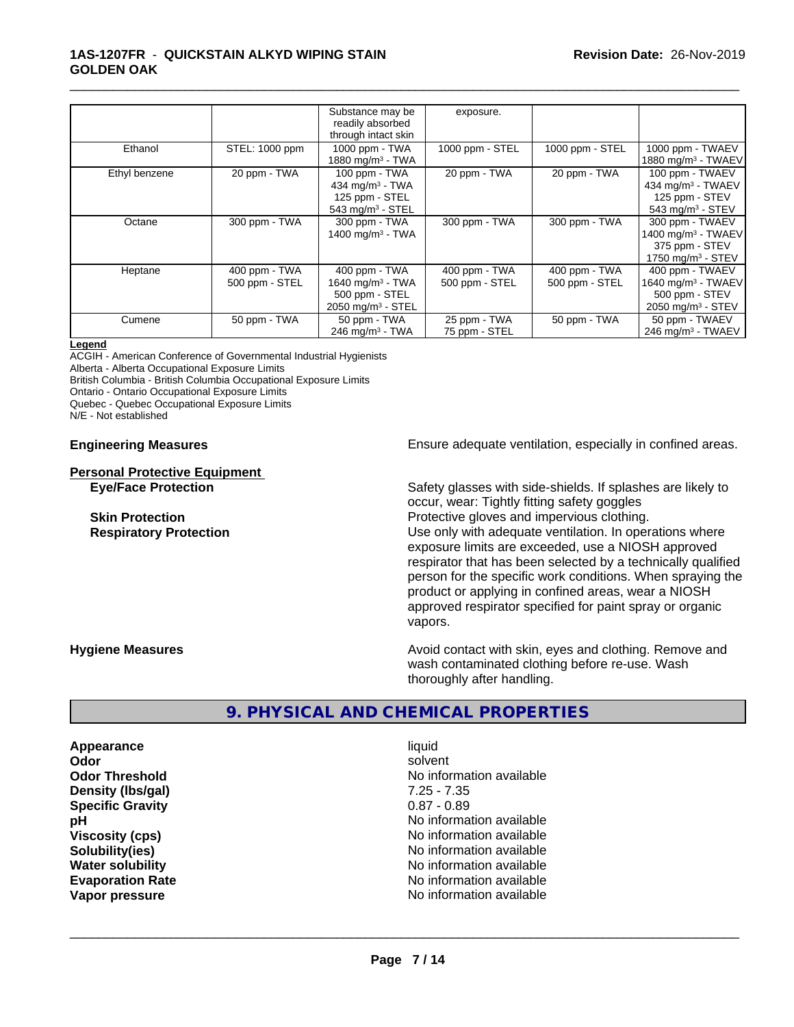#### **1AS-1207FR** - **QUICKSTAIN ALKYD WIPING STAIN GOLDEN OAK**

|               |                | Substance may be                | exposure.                 |                 |                                |
|---------------|----------------|---------------------------------|---------------------------|-----------------|--------------------------------|
|               |                | readily absorbed                |                           |                 |                                |
|               |                | through intact skin             |                           |                 |                                |
| Ethanol       | STEL: 1000 ppm | 1000 ppm - TWA                  | 1000 ppm - STEL           | 1000 ppm - STEL | 1000 ppm - TWAEV               |
|               |                | 1880 mg/m <sup>3</sup> - TWA    |                           |                 | 1880 mg/m <sup>3</sup> - TWAEV |
| Ethyl benzene | 20 ppm - TWA   | 100 ppm - TWA                   | 20 ppm - $T\overline{WA}$ | 20 ppm - $TWA$  | 100 ppm - TWAEV                |
|               |                | 434 mg/m $3$ - TWA              |                           |                 | 434 mg/m $3$ - TWAEV           |
|               |                | 125 ppm - STEL                  |                           |                 | 125 ppm - STEV                 |
|               |                | $543$ mg/m <sup>3</sup> - STEL  |                           |                 | 543 mg/m $3 -$ STEV            |
| Octane        | 300 ppm - TWA  | 300 ppm - TWA                   | 300 ppm - TWA             | 300 ppm - TWA   | 300 ppm - TWAEV                |
|               |                | 1400 mg/m $3$ - TWA             |                           |                 | 1400 mg/m <sup>3</sup> - TWAEV |
|               |                |                                 |                           |                 | 375 ppm - STEV                 |
|               |                |                                 |                           |                 | 1750 mg/m $3 -$ STEV           |
| Heptane       | 400 ppm - TWA  | 400 ppm - TWA                   | 400 ppm - TWA             | 400 ppm - TWA   | 400 ppm - TWAEV                |
|               | 500 ppm - STEL | 1640 mg/m <sup>3</sup> - TWA    | 500 ppm - STEL            | 500 ppm - STEL  | 1640 mg/m <sup>3</sup> - TWAEV |
|               |                | 500 ppm - STEL                  |                           |                 | 500 ppm - STEV                 |
|               |                | $2050$ mg/m <sup>3</sup> - STEL |                           |                 | 2050 mg/m <sup>3</sup> - STEV  |
| Cumene        | 50 ppm - TWA   | 50 ppm - TWA                    | 25 ppm - TWA              | 50 ppm - TWA    | 50 ppm - TWAEV                 |
|               |                | 246 mg/m $3$ - TWA              | 75 ppm - STEL             |                 | 246 mg/m $3$ - TWAEV           |

\_\_\_\_\_\_\_\_\_\_\_\_\_\_\_\_\_\_\_\_\_\_\_\_\_\_\_\_\_\_\_\_\_\_\_\_\_\_\_\_\_\_\_\_\_\_\_\_\_\_\_\_\_\_\_\_\_\_\_\_\_\_\_\_\_\_\_\_\_\_\_\_\_\_\_\_\_\_\_\_\_\_\_\_\_\_\_\_\_\_\_\_\_

#### **Legend**

ACGIH - American Conference of Governmental Industrial Hygienists Alberta - Alberta Occupational Exposure Limits British Columbia - British Columbia Occupational Exposure Limits

Ontario - Ontario Occupational Exposure Limits

Quebec - Quebec Occupational Exposure Limits

N/E - Not established

**Personal Protective Equipment**

**Engineering Measures Ensure** Ensure adequate ventilation, especially in confined areas.

**Eye/Face Protection** Safety glasses with side-shields. If splashes are likely to occur, wear: Tightly fitting safety goggles **Skin Protection Protection Protective gloves and impervious clothing. Respiratory Protection Number 1** (Use only with adequate ventilation. In operations where exposure limits are exceeded, use a NIOSH approved respirator that has been selected by a technically qualified person for the specific work conditions. When spraying the product or applying in confined areas, wear a NIOSH approved respirator specified for paint spray or organic vapors.

**Hygiene Measures Avoid contact with skin, eyes and clothing. Remove and Avoid contact with skin, eyes and clothing. Remove and** wash contaminated clothing before re-use. Wash thoroughly after handling.

## **9. PHYSICAL AND CHEMICAL PROPERTIES**

**Appearance** liquid **Odor** solvent **Density (lbs/gal)** 7.25 - 7.35 **Specific Gravity** 0.87 - 0.89

**Odor Threshold** No information available **pH** No information available **Viscosity (cps)** No information available Notice 1, 1999 **Solubility(ies)** No information available **Water solubility** No information available **Evaporation Rate No information available No information available Vapor pressure** No information available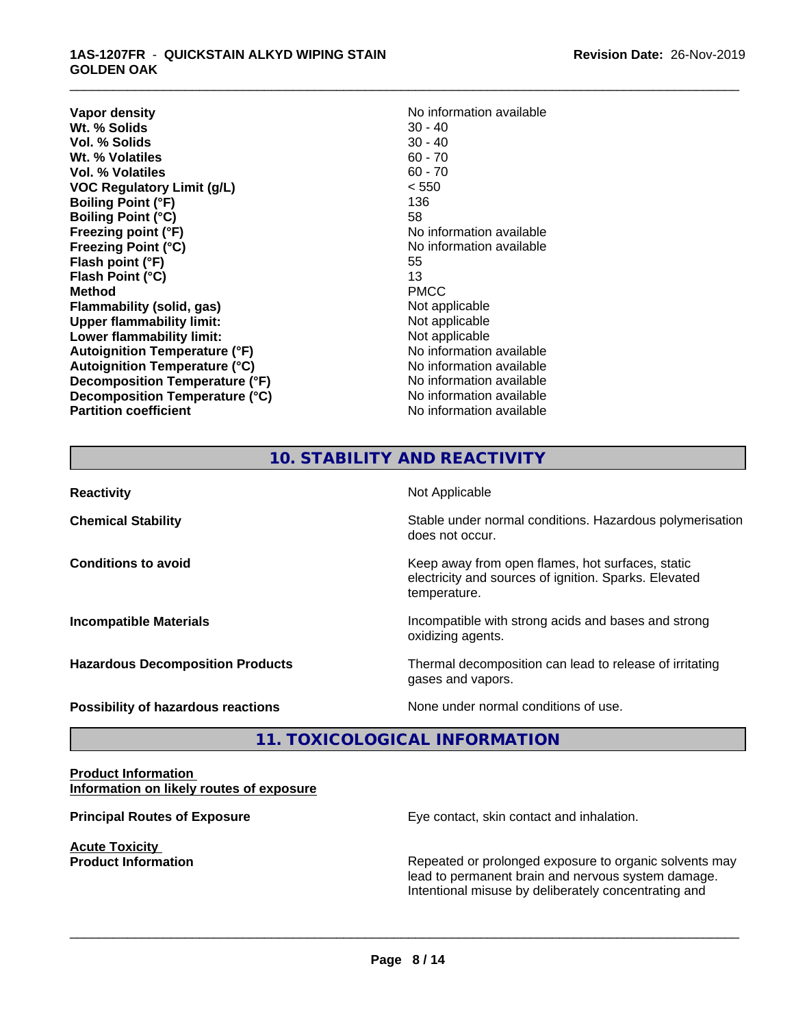#### **1AS-1207FR** - **QUICKSTAIN ALKYD WIPING STAIN GOLDEN OAK**

**Vapor density**<br> **We Solids**<br>
We Solids
20 - 40 **Wt. % Solids** 30 - 40<br> **Vol. % Solids** 30 - 40 **Vol. % Solids** 30 - 40<br> **Wt. % Volatiles** 60 - 70 **Wt. % Volatiles Vol. % Volatiles** 60 - 70 **VOC Regulatory Limit (g/L)** < 550 **Boiling Point (°F)** 136 **Boiling Point (°C)** 58 **Freezing point (°F)** The state of the state of the Noinformation available **Freezing Point (°C)** and **COV** No information available **Flash point (°F)** 55 **Flash Point (°C)** 13 **Method** PMCC **Flammability (solid, gas)**<br> **Upper flammability limit:**<br>
Upper flammability limit:<br>  $\begin{array}{ccc}\n\bullet & \bullet & \bullet \\
\bullet & \bullet & \bullet\n\end{array}$ **Upper flammability limit: Lower flammability limit:**<br> **Autoignition Temperature (°F)** Not applicable available and the Mustafable and Mustafable and Mustafable and Mu **Autoignition Temperature (°F) Autoignition Temperature (°C)** No information available **Decomposition Temperature (°F)** No information available **Decomposition Temperature (°C)** No information available **Partition coefficient** No information available

\_\_\_\_\_\_\_\_\_\_\_\_\_\_\_\_\_\_\_\_\_\_\_\_\_\_\_\_\_\_\_\_\_\_\_\_\_\_\_\_\_\_\_\_\_\_\_\_\_\_\_\_\_\_\_\_\_\_\_\_\_\_\_\_\_\_\_\_\_\_\_\_\_\_\_\_\_\_\_\_\_\_\_\_\_\_\_\_\_\_\_\_\_

# **10. STABILITY AND REACTIVITY**

| <b>Reactivity</b>                         | Not Applicable                                                                                                            |
|-------------------------------------------|---------------------------------------------------------------------------------------------------------------------------|
| <b>Chemical Stability</b>                 | Stable under normal conditions. Hazardous polymerisation<br>does not occur.                                               |
| <b>Conditions to avoid</b>                | Keep away from open flames, hot surfaces, static<br>electricity and sources of ignition. Sparks. Elevated<br>temperature. |
| <b>Incompatible Materials</b>             | Incompatible with strong acids and bases and strong<br>oxidizing agents.                                                  |
| <b>Hazardous Decomposition Products</b>   | Thermal decomposition can lead to release of irritating<br>gases and vapors.                                              |
| <b>Possibility of hazardous reactions</b> | None under normal conditions of use.                                                                                      |

# **11. TOXICOLOGICAL INFORMATION**

#### **Product Information Information on likely routes of exposure**

**Acute Toxicity** 

**Principal Routes of Exposure Exposure** Eye contact, skin contact and inhalation.

**Product Information Repeated or prolonged exposure to organic solvents may** Repeated or prolonged exposure to organic solvents may lead to permanent brain and nervous system damage. Intentional misuse by deliberately concentrating and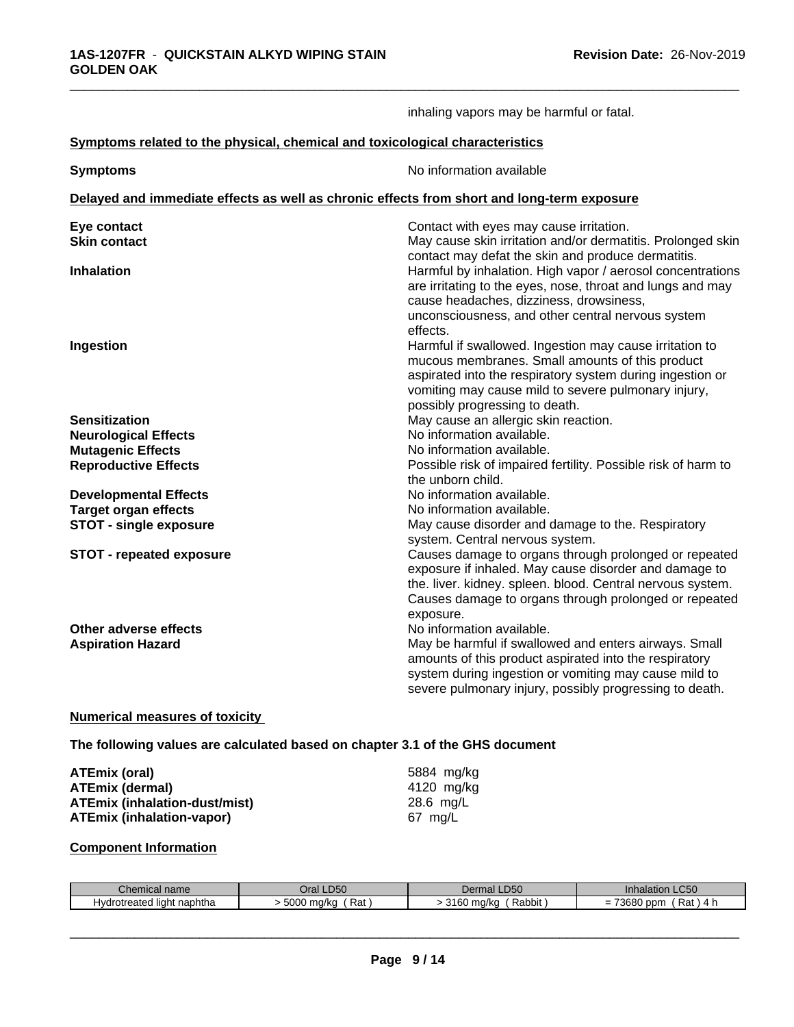|                                                                                            | inhaling vapors may be harmful or fatal.                                                                                                                                                                                                                         |
|--------------------------------------------------------------------------------------------|------------------------------------------------------------------------------------------------------------------------------------------------------------------------------------------------------------------------------------------------------------------|
| Symptoms related to the physical, chemical and toxicological characteristics               |                                                                                                                                                                                                                                                                  |
| <b>Symptoms</b>                                                                            | No information available                                                                                                                                                                                                                                         |
| Delayed and immediate effects as well as chronic effects from short and long-term exposure |                                                                                                                                                                                                                                                                  |
| Eye contact<br><b>Skin contact</b>                                                         | Contact with eyes may cause irritation.<br>May cause skin irritation and/or dermatitis. Prolonged skin<br>contact may defat the skin and produce dermatitis.                                                                                                     |
| <b>Inhalation</b>                                                                          | Harmful by inhalation. High vapor / aerosol concentrations<br>are irritating to the eyes, nose, throat and lungs and may<br>cause headaches, dizziness, drowsiness,<br>unconsciousness, and other central nervous system<br>effects.                             |
| Ingestion                                                                                  | Harmful if swallowed. Ingestion may cause irritation to<br>mucous membranes. Small amounts of this product<br>aspirated into the respiratory system during ingestion or<br>vomiting may cause mild to severe pulmonary injury,<br>possibly progressing to death. |
| <b>Sensitization</b>                                                                       | May cause an allergic skin reaction.                                                                                                                                                                                                                             |
| <b>Neurological Effects</b>                                                                | No information available.                                                                                                                                                                                                                                        |
| <b>Mutagenic Effects</b>                                                                   | No information available.                                                                                                                                                                                                                                        |
| <b>Reproductive Effects</b>                                                                | Possible risk of impaired fertility. Possible risk of harm to<br>the unborn child.                                                                                                                                                                               |
| <b>Developmental Effects</b>                                                               | No information available.                                                                                                                                                                                                                                        |
| <b>Target organ effects</b>                                                                | No information available.                                                                                                                                                                                                                                        |
| <b>STOT - single exposure</b>                                                              | May cause disorder and damage to the. Respiratory<br>system. Central nervous system.                                                                                                                                                                             |
| <b>STOT - repeated exposure</b>                                                            | Causes damage to organs through prolonged or repeated<br>exposure if inhaled. May cause disorder and damage to<br>the. liver. kidney. spleen. blood. Central nervous system.<br>Causes damage to organs through prolonged or repeated<br>exposure.               |
| Other adverse effects<br><b>Aspiration Hazard</b>                                          | No information available.<br>May be harmful if swallowed and enters airways. Small<br>amounts of this product aspirated into the respiratory<br>system during ingestion or vomiting may cause mild to<br>severe pulmonary injury, possibly progressing to death. |

### **Numerical measures of toxicity**

**The following values are calculated based on chapter 3.1 of the GHS document**

| ATEmix (oral)                        | 5884 mg/ka |
|--------------------------------------|------------|
| <b>ATEmix (dermal)</b>               | 4120 mg/ka |
| <b>ATEmix (inhalation-dust/mist)</b> | 28.6 mg/L  |
| ATEmix (inhalation-vapor)            | 67 ma/L    |

## **Component Information**

| hemical name<br>.                          | DEC<br>$\overline{H}$<br>-Lu | n∆r<br>п<br>∟טט<br>нан н<br>┚⋻          | $\Gamma$<br><b>Inhalation</b><br>LC50                                 |
|--------------------------------------------|------------------------------|-----------------------------------------|-----------------------------------------------------------------------|
| naphtha<br>reated<br>. Ivdrc<br>liah<br>ОП | 5000<br>Rat<br>ma/kc         | $\overline{1}$<br>Rabbit<br>ma/ka<br>uu | 70000<br>Rat<br>ppm<br>-<br>$\overline{\phantom{a}}$<br>=<br>w<br>т і |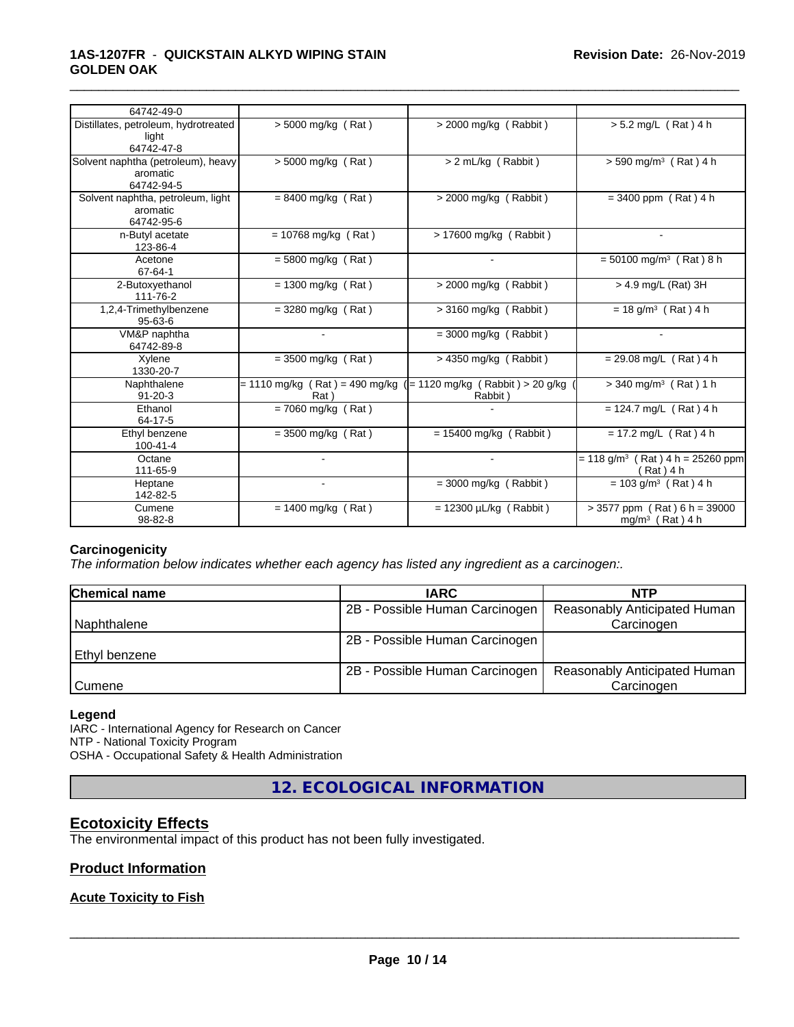## **1AS-1207FR** - **QUICKSTAIN ALKYD WIPING STAIN GOLDEN OAK**

| 64742-49-0                                                   |                                                                          |                             |                                                                 |
|--------------------------------------------------------------|--------------------------------------------------------------------------|-----------------------------|-----------------------------------------------------------------|
| Distillates, petroleum, hydrotreated<br>light<br>64742-47-8  | $> 5000$ mg/kg (Rat)                                                     | $>$ 2000 mg/kg (Rabbit)     | $> 5.2$ mg/L (Rat) 4 h                                          |
| Solvent naphtha (petroleum), heavy<br>aromatic<br>64742-94-5 | $> 5000$ mg/kg (Rat)                                                     | > 2 mL/kg (Rabbit)          | $> 590$ mg/m <sup>3</sup> (Rat) 4 h                             |
| Solvent naphtha, petroleum, light<br>aromatic<br>64742-95-6  | $= 8400$ mg/kg (Rat)                                                     | $>$ 2000 mg/kg (Rabbit)     | $= 3400$ ppm (Rat) 4 h                                          |
| n-Butyl acetate<br>123-86-4                                  | $= 10768$ mg/kg (Rat)                                                    | > 17600 mg/kg (Rabbit)      |                                                                 |
| Acetone<br>67-64-1                                           | $= 5800$ mg/kg (Rat)                                                     |                             | $= 50100$ mg/m <sup>3</sup> (Rat) 8 h                           |
| 2-Butoxyethanol<br>111-76-2                                  | $= 1300$ mg/kg (Rat)                                                     | $>$ 2000 mg/kg (Rabbit)     | > 4.9 mg/L (Rat) 3H                                             |
| 1,2,4-Trimethylbenzene<br>$95 - 63 - 6$                      | $=$ 3280 mg/kg (Rat)                                                     | $>$ 3160 mg/kg (Rabbit)     | $= 18$ g/m <sup>3</sup> (Rat) 4 h                               |
| VM&P naphtha<br>64742-89-8                                   |                                                                          | $=$ 3000 mg/kg (Rabbit)     |                                                                 |
| Xylene<br>1330-20-7                                          | $=$ 3500 mg/kg (Rat)                                                     | $>$ 4350 mg/kg (Rabbit)     | $= 29.08$ mg/L (Rat) 4 h                                        |
| Naphthalene<br>$91 - 20 - 3$                                 | = 1110 mg/kg (Rat) = 490 mg/kg ( = 1120 mg/kg (Rabbit) > 20 g/kg<br>Rat) | Rabbit)                     | $>$ 340 mg/m <sup>3</sup> (Rat) 1 h                             |
| Ethanol<br>64-17-5                                           | $= 7060$ mg/kg (Rat)                                                     |                             | $= 124.7$ mg/L (Rat) 4 h                                        |
| Ethyl benzene<br>100-41-4                                    | $=$ 3500 mg/kg (Rat)                                                     | $= 15400$ mg/kg (Rabbit)    | $= 17.2$ mg/L (Rat) 4 h                                         |
| Octane<br>111-65-9                                           |                                                                          |                             | $= 118$ g/m <sup>3</sup> (Rat) 4 h = 25260 ppm<br>(Rat) 4 h     |
| Heptane<br>142-82-5                                          |                                                                          | $=$ 3000 mg/kg (Rabbit)     | $= 103$ g/m <sup>3</sup> (Rat) 4 h                              |
| Cumene<br>98-82-8                                            | $= 1400$ mg/kg (Rat)                                                     | $= 12300 \mu L/kg$ (Rabbit) | $> 3577$ ppm (Rat) 6 h = 39000<br>mg/m <sup>3</sup> (Rat) $4 h$ |

\_\_\_\_\_\_\_\_\_\_\_\_\_\_\_\_\_\_\_\_\_\_\_\_\_\_\_\_\_\_\_\_\_\_\_\_\_\_\_\_\_\_\_\_\_\_\_\_\_\_\_\_\_\_\_\_\_\_\_\_\_\_\_\_\_\_\_\_\_\_\_\_\_\_\_\_\_\_\_\_\_\_\_\_\_\_\_\_\_\_\_\_\_

## **Carcinogenicity**

*The information below indicateswhether each agency has listed any ingredient as a carcinogen:.*

| <b>Chemical name</b> | <b>IARC</b>                    | <b>NTP</b>                   |
|----------------------|--------------------------------|------------------------------|
|                      | 2B - Possible Human Carcinogen | Reasonably Anticipated Human |
| Naphthalene          |                                | Carcinogen                   |
|                      | 2B - Possible Human Carcinogen |                              |
| l Ethvl benzene      |                                |                              |
|                      | 2B - Possible Human Carcinogen | Reasonably Anticipated Human |
| <b>Cumene</b>        |                                | Carcinogen                   |

#### **Legend**

IARC - International Agency for Research on Cancer NTP - National Toxicity Program OSHA - Occupational Safety & Health Administration

**12. ECOLOGICAL INFORMATION**

## **Ecotoxicity Effects**

The environmental impact of this product has not been fully investigated.

## **Product Information**

## **Acute Toxicity to Fish**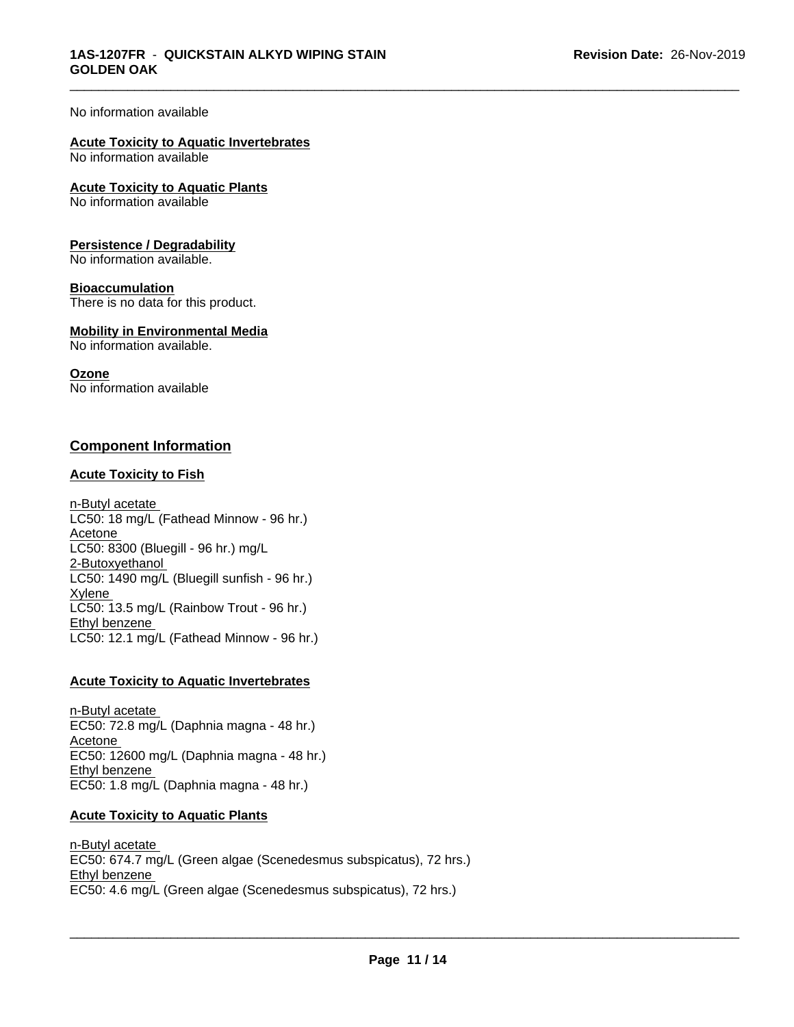#### No information available

#### **Acute Toxicity to Aquatic Invertebrates** No information available

**Acute Toxicity to Aquatic Plants** No information available

#### **Persistence / Degradability**

No information available.

#### **Bioaccumulation**

There is no data for this product.

## **Mobility in Environmental Media**

No information available.

#### **Ozone**

No information available

## **Component Information**

#### **Acute Toxicity to Fish**

n-Butyl acetate LC50: 18 mg/L (Fathead Minnow - 96 hr.) Acetone LC50: 8300 (Bluegill - 96 hr.) mg/L 2-Butoxyethanol LC50: 1490 mg/L (Bluegill sunfish - 96 hr.) **Xylene** LC50: 13.5 mg/L (Rainbow Trout - 96 hr.) Ethyl benzene LC50: 12.1 mg/L (Fathead Minnow - 96 hr.)

#### **Acute Toxicity to Aquatic Invertebrates**

n-Butyl acetate EC50: 72.8 mg/L (Daphnia magna - 48 hr.) Acetone EC50: 12600 mg/L (Daphnia magna - 48 hr.) Ethyl benzene EC50: 1.8 mg/L (Daphnia magna - 48 hr.)

#### **Acute Toxicity to Aquatic Plants**

n-Butyl acetate EC50: 674.7 mg/L (Green algae (Scenedesmus subspicatus), 72 hrs.) Ethyl benzene \_\_\_\_\_\_\_\_\_\_\_\_\_\_\_\_\_\_\_\_\_\_\_\_\_\_\_\_\_\_\_\_\_\_\_\_\_\_\_\_\_\_\_\_\_\_\_\_\_\_\_\_\_\_\_\_\_\_\_\_\_\_\_\_\_\_\_\_\_\_\_\_\_\_\_\_\_\_\_\_\_\_\_\_\_\_\_\_\_\_\_\_\_ EC50: 4.6 mg/L (Green algae (Scenedesmus subspicatus), 72 hrs.)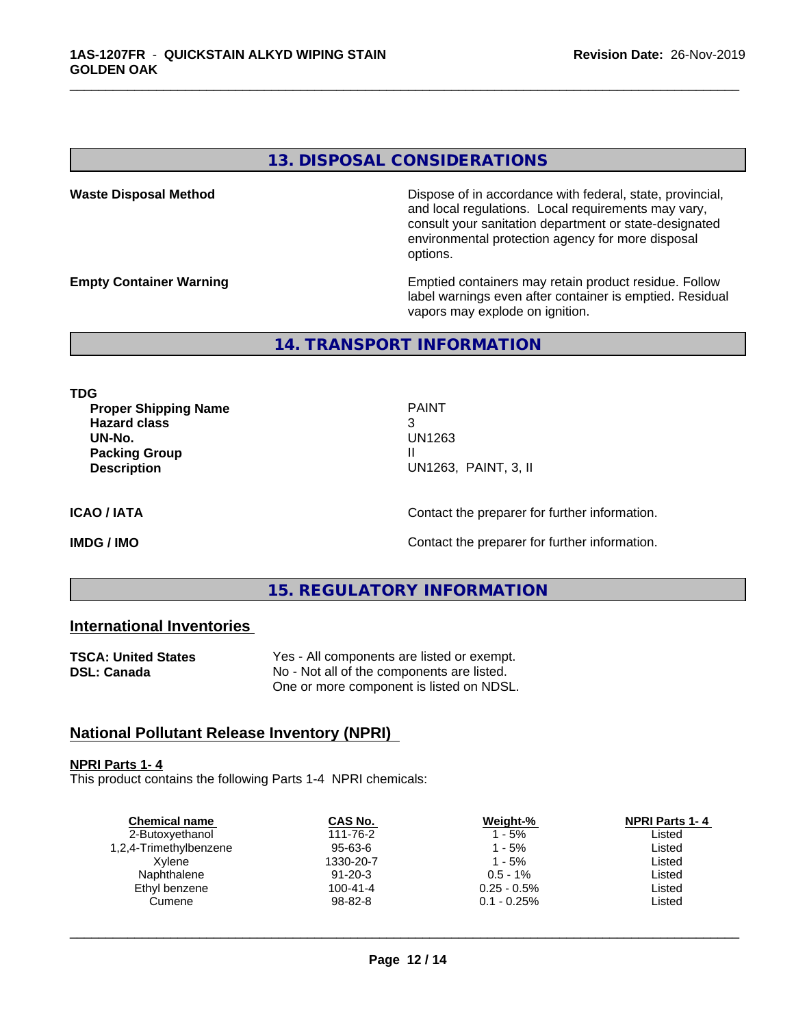## **13. DISPOSAL CONSIDERATIONS**

**Waste Disposal Method Dispose of in accordance with federal, state, provincial,** and local regulations. Local requirements may vary, consult your sanitation department or state-designated environmental protection agency for more disposal options.

**Empty Container Warning <b>Emptied** Containers may retain product residue. Follow label warnings even after container is emptied. Residual vapors may explode on ignition.

**14. TRANSPORT INFORMATION**

**TDG**

**Proper Shipping Name PAINT Hazard class** 3 **UN-No.** UN1263 **Packing Group III Description** UN1263, PAINT, 3, II

\_\_\_\_\_\_\_\_\_\_\_\_\_\_\_\_\_\_\_\_\_\_\_\_\_\_\_\_\_\_\_\_\_\_\_\_\_\_\_\_\_\_\_\_\_\_\_\_\_\_\_\_\_\_\_\_\_\_\_\_\_\_\_\_\_\_\_\_\_\_\_\_\_\_\_\_\_\_\_\_\_\_\_\_\_\_\_\_\_\_\_\_\_

**ICAO / IATA** Contact the preparer for further information.

**IMDG / IMO Contact the preparer for further information.** 

## **15. REGULATORY INFORMATION**

## **International Inventories**

| <b>TSCA: United States</b> | Yes - All components are listed or exempt. |
|----------------------------|--------------------------------------------|
| DSL: Canada                | No - Not all of the components are listed. |
|                            | One or more component is listed on NDSL.   |

## **National Pollutant Release Inventory (NPRI)**

#### **NPRI Parts 1- 4**

This product contains the following Parts 1-4 NPRI chemicals:

| <b>Chemical name</b>   | CAS No.       | Weight-%       | <b>NPRI Parts 1-4</b> |
|------------------------|---------------|----------------|-----------------------|
| 2-Butoxyethanol        | 111-76-2      | $1 - 5%$       | Listed                |
| 1,2,4-Trimethylbenzene | $95 - 63 - 6$ | $1 - 5%$       | Listed                |
| Xvlene                 | 1330-20-7     | $1 - 5%$       | Listed                |
| Naphthalene            | $91 - 20 - 3$ | $0.5 - 1\%$    | Listed                |
| Ethyl benzene          | 100-41-4      | $0.25 - 0.5\%$ | Listed                |
| Cumene                 | 98-82-8       | $0.1 - 0.25\%$ | Listed                |
|                        |               |                |                       |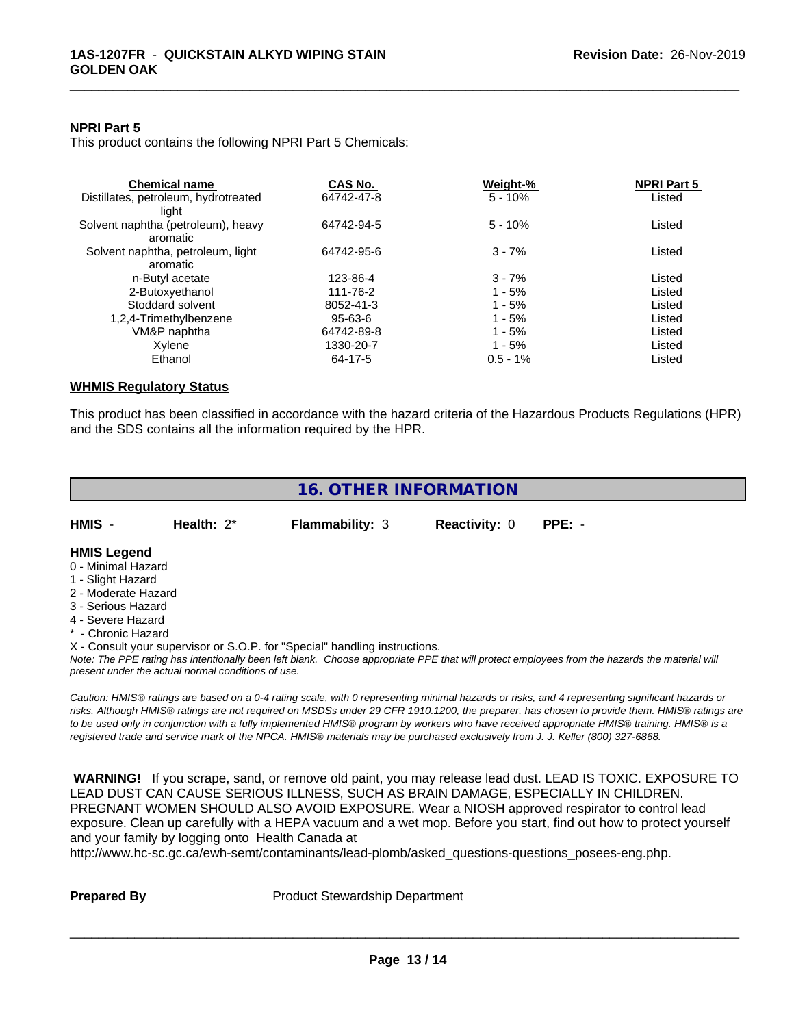### **NPRI Part 5**

This product contains the following NPRI Part 5 Chemicals:

| <b>Chemical name</b>                 | CAS No.       | Weight-%    | <b>NPRI Part 5</b> |  |
|--------------------------------------|---------------|-------------|--------------------|--|
| Distillates, petroleum, hydrotreated | 64742-47-8    | $5 - 10%$   | Listed             |  |
| liaht                                |               |             |                    |  |
| Solvent naphtha (petroleum), heavy   | 64742-94-5    | $5 - 10%$   | Listed             |  |
| aromatic                             |               |             |                    |  |
| Solvent naphtha, petroleum, light    | 64742-95-6    | $3 - 7%$    | Listed             |  |
| aromatic                             |               |             |                    |  |
| n-Butyl acetate                      | 123-86-4      | $3 - 7%$    | Listed             |  |
| 2-Butoxyethanol                      | 111-76-2      | $1 - 5%$    | Listed             |  |
| Stoddard solvent                     | 8052-41-3     | $1 - 5%$    | Listed             |  |
| 1,2,4-Trimethylbenzene               | $95 - 63 - 6$ | $1 - 5%$    | Listed             |  |
| VM&P naphtha                         | 64742-89-8    | $1 - 5%$    | Listed             |  |
| Xvlene                               | 1330-20-7     | $1 - 5%$    | Listed             |  |
| Ethanol                              | 64-17-5       | $0.5 - 1\%$ | Listed             |  |

\_\_\_\_\_\_\_\_\_\_\_\_\_\_\_\_\_\_\_\_\_\_\_\_\_\_\_\_\_\_\_\_\_\_\_\_\_\_\_\_\_\_\_\_\_\_\_\_\_\_\_\_\_\_\_\_\_\_\_\_\_\_\_\_\_\_\_\_\_\_\_\_\_\_\_\_\_\_\_\_\_\_\_\_\_\_\_\_\_\_\_\_\_

# **WHMIS Regulatory Status**

This product has been classified in accordance with the hazard criteria of the Hazardous Products Regulations (HPR) and the SDS contains all the information required by the HPR.

|                                                                                                                                                       |                                                    | <b>16. OTHER INFORMATION</b>                                                                                                                                                                                                                                                                                                                                                                                                                                                                                                                                                                                                                                                                                                                                                                                |                      |          |  |
|-------------------------------------------------------------------------------------------------------------------------------------------------------|----------------------------------------------------|-------------------------------------------------------------------------------------------------------------------------------------------------------------------------------------------------------------------------------------------------------------------------------------------------------------------------------------------------------------------------------------------------------------------------------------------------------------------------------------------------------------------------------------------------------------------------------------------------------------------------------------------------------------------------------------------------------------------------------------------------------------------------------------------------------------|----------------------|----------|--|
| HMIS -                                                                                                                                                | Health: $2^*$                                      | <b>Flammability: 3</b>                                                                                                                                                                                                                                                                                                                                                                                                                                                                                                                                                                                                                                                                                                                                                                                      | <b>Reactivity: 0</b> | $PPE: -$ |  |
| <b>HMIS Legend</b><br>0 - Minimal Hazard<br>1 - Slight Hazard<br>2 - Moderate Hazard<br>3 - Serious Hazard<br>4 - Severe Hazard<br>* - Chronic Hazard | present under the actual normal conditions of use. | X - Consult your supervisor or S.O.P. for "Special" handling instructions.<br>Note: The PPE rating has intentionally been left blank. Choose appropriate PPE that will protect employees from the hazards the material will<br>Caution: HMIS® ratings are based on a 0-4 rating scale, with 0 representing minimal hazards or risks, and 4 representing significant hazards or<br>risks. Although HMIS® ratings are not required on MSDSs under 29 CFR 1910.1200, the preparer, has chosen to provide them. HMIS® ratings are<br>to be used only in conjunction with a fully implemented HMIS® program by workers who have received appropriate HMIS® training. HMIS® is a<br>registered trade and service mark of the NPCA. HMIS® materials may be purchased exclusively from J. J. Keller (800) 327-6868. |                      |          |  |
|                                                                                                                                                       |                                                    | WARNING! If you scrape, sand, or remove old paint, you may release lead dust. LEAD IS TOXIC. EXPOSURE TO<br>LEAD DUST CAN CAUSE SERIOUS ILLNESS, SUCH AS BRAIN DAMAGE, ESPECIALLY IN CHILDREN.<br>PREGNANT WOMEN SHOULD ALSO AVOID EXPOSURE. Wear a NIOSH approved respirator to control lead                                                                                                                                                                                                                                                                                                                                                                                                                                                                                                               |                      |          |  |

**Prepared By** Product Stewardship Department